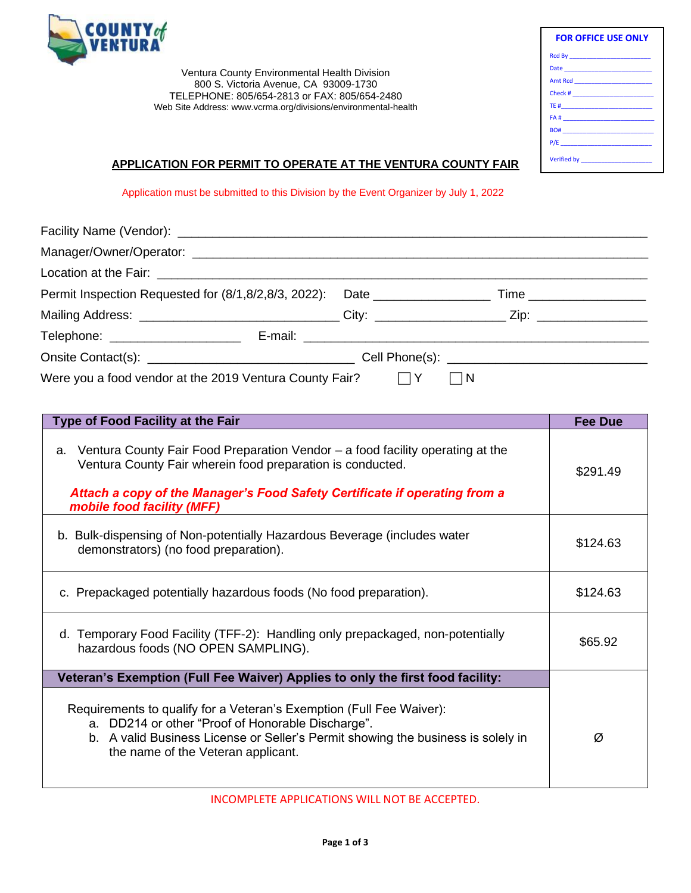

Ventura County Environmental Health Division 800 S. Victoria Avenue, CA 93009-1730 TELEPHONE: 805/654-2813 or FAX: 805/654-2480 Web Site Address: www.vcrma.org/divisions/environmental-health

| <b>FOR OFFICE USE ONLY</b>                                                                                    |  |
|---------------------------------------------------------------------------------------------------------------|--|
|                                                                                                               |  |
|                                                                                                               |  |
|                                                                                                               |  |
|                                                                                                               |  |
|                                                                                                               |  |
| FA # 2008 2009 2012 2022 2023 2024 2022 2023 2024 2022 2023 2024 2022 2023 2024 2022 2023 2024 2025 2026 2027 |  |
|                                                                                                               |  |
|                                                                                                               |  |

## **APPLICATION FOR PERMIT TO OPERATE AT THE VENTURA COUNTY FAIR**

Application must be submitted to this Division by the Event Organizer by July 1, 2022

| Permit Inspection Requested for (8/1,8/2,8/3, 2022): Date _______________________ Time ______________________ |   |
|---------------------------------------------------------------------------------------------------------------|---|
| Mailing Address: _________________________________City: ______________________Zip: _________________          |   |
|                                                                                                               |   |
|                                                                                                               |   |
| Were you a food vendor at the 2019 Ventura County Fair? $\Box Y$                                              | N |

| <b>Type of Food Facility at the Fair</b>                                                                                                                                                                                                                       | <b>Fee Due</b> |
|----------------------------------------------------------------------------------------------------------------------------------------------------------------------------------------------------------------------------------------------------------------|----------------|
| Ventura County Fair Food Preparation Vendor – a food facility operating at the<br>а.<br>Ventura County Fair wherein food preparation is conducted.<br>Attach a copy of the Manager's Food Safety Certificate if operating from a<br>mobile food facility (MFF) | \$291.49       |
| b. Bulk-dispensing of Non-potentially Hazardous Beverage (includes water<br>demonstrators) (no food preparation).                                                                                                                                              | \$124.63       |
| c. Prepackaged potentially hazardous foods (No food preparation).                                                                                                                                                                                              | \$124.63       |
| d. Temporary Food Facility (TFF-2): Handling only prepackaged, non-potentially<br>hazardous foods (NO OPEN SAMPLING).                                                                                                                                          | \$65.92        |
| Veteran's Exemption (Full Fee Waiver) Applies to only the first food facility:                                                                                                                                                                                 |                |
| Requirements to qualify for a Veteran's Exemption (Full Fee Waiver):<br>a. DD214 or other "Proof of Honorable Discharge".<br>b. A valid Business License or Seller's Permit showing the business is solely in<br>the name of the Veteran applicant.            | Ø              |

INCOMPLETE APPLICATIONS WILL NOT BE ACCEPTED.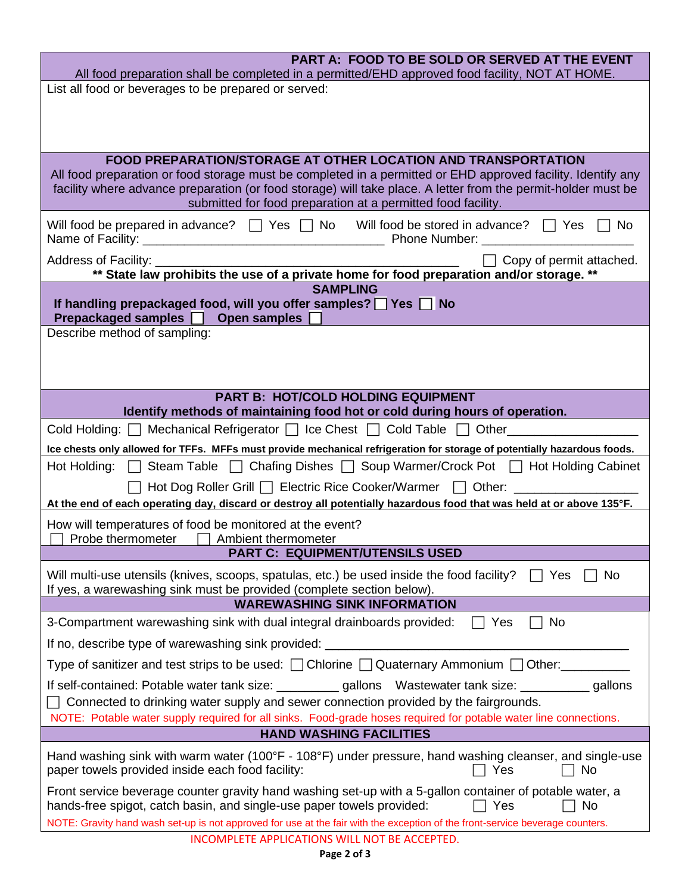| PART A: FOOD TO BE SOLD OR SERVED AT THE EVENT<br>All food preparation shall be completed in a permitted/EHD approved food facility, NOT AT HOME.                                                                                                                                             |  |  |  |
|-----------------------------------------------------------------------------------------------------------------------------------------------------------------------------------------------------------------------------------------------------------------------------------------------|--|--|--|
| List all food or beverages to be prepared or served:                                                                                                                                                                                                                                          |  |  |  |
|                                                                                                                                                                                                                                                                                               |  |  |  |
|                                                                                                                                                                                                                                                                                               |  |  |  |
| <b>FOOD PREPARATION/STORAGE AT OTHER LOCATION AND TRANSPORTATION</b>                                                                                                                                                                                                                          |  |  |  |
| All food preparation or food storage must be completed in a permitted or EHD approved facility. Identify any<br>facility where advance preparation (or food storage) will take place. A letter from the permit-holder must be<br>submitted for food preparation at a permitted food facility. |  |  |  |
| Will food be prepared in advance? $\Box$ Yes $\Box$ No Will food be stored in advance? $\Box$ Yes<br><b>No</b>                                                                                                                                                                                |  |  |  |
| $\top$ Copy of permit attached.<br>** State law prohibits the use of a private home for food preparation and/or storage. **                                                                                                                                                                   |  |  |  |
| <b>SAMPLING</b>                                                                                                                                                                                                                                                                               |  |  |  |
| If handling prepackaged food, will you offer samples? $\Box$ Yes $\Box$ No<br>Prepackaged samples □ Open samples                                                                                                                                                                              |  |  |  |
| Describe method of sampling:                                                                                                                                                                                                                                                                  |  |  |  |
|                                                                                                                                                                                                                                                                                               |  |  |  |
|                                                                                                                                                                                                                                                                                               |  |  |  |
| <b>PART B: HOT/COLD HOLDING EQUIPMENT</b>                                                                                                                                                                                                                                                     |  |  |  |
| Identify methods of maintaining food hot or cold during hours of operation.<br>Cold Holding: <b>□</b> Mechanical Refrigerator □ Ice Chest □ Cold Table □ Other                                                                                                                                |  |  |  |
| Ice chests only allowed for TFFs. MFFs must provide mechanical refrigeration for storage of potentially hazardous foods.                                                                                                                                                                      |  |  |  |
| Hot Holding: □ Steam Table □ Chafing Dishes □ Soup Warmer/Crock Pot □ Hot Holding Cabinet                                                                                                                                                                                                     |  |  |  |
| Hot Dog Roller Grill   Electric Rice Cooker/Warmer   Other: _______                                                                                                                                                                                                                           |  |  |  |
| At the end of each operating day, discard or destroy all potentially hazardous food that was held at or above 135°F.                                                                                                                                                                          |  |  |  |
| How will temperatures of food be monitored at the event?<br>Probe thermometer<br>Ambient thermometer                                                                                                                                                                                          |  |  |  |
| <b>PART C: EQUIPMENT/UTENSILS USED</b>                                                                                                                                                                                                                                                        |  |  |  |
| Will multi-use utensils (knives, scoops, spatulas, etc.) be used inside the food facility?<br>Yes<br>No<br>If yes, a warewashing sink must be provided (complete section below).                                                                                                              |  |  |  |
| <b>WAREWASHING SINK INFORMATION</b>                                                                                                                                                                                                                                                           |  |  |  |
| 3-Compartment warewashing sink with dual integral drainboards provided:<br>Yes<br>No                                                                                                                                                                                                          |  |  |  |
| If no, describe type of warewashing sink provided:                                                                                                                                                                                                                                            |  |  |  |
| Type of sanitizer and test strips to be used: $\Box$ Chlorine $\Box$ Quaternary Ammonium $\Box$ Other:                                                                                                                                                                                        |  |  |  |
| If self-contained: Potable water tank size: ___________ gallons  Wastewater tank size: __________ gallons<br>Connected to drinking water supply and sewer connection provided by the fairgrounds.                                                                                             |  |  |  |
| NOTE: Potable water supply required for all sinks. Food-grade hoses required for potable water line connections.                                                                                                                                                                              |  |  |  |
| <b>HAND WASHING FACILITIES</b>                                                                                                                                                                                                                                                                |  |  |  |
| Hand washing sink with warm water (100°F - 108°F) under pressure, hand washing cleanser, and single-use<br>paper towels provided inside each food facility:<br>Yes<br>No                                                                                                                      |  |  |  |
| Front service beverage counter gravity hand washing set-up with a 5-gallon container of potable water, a<br>hands-free spigot, catch basin, and single-use paper towels provided:<br>Yes<br>No                                                                                                |  |  |  |
| NOTE: Gravity hand wash set-up is not approved for use at the fair with the exception of the front-service beverage counters.                                                                                                                                                                 |  |  |  |